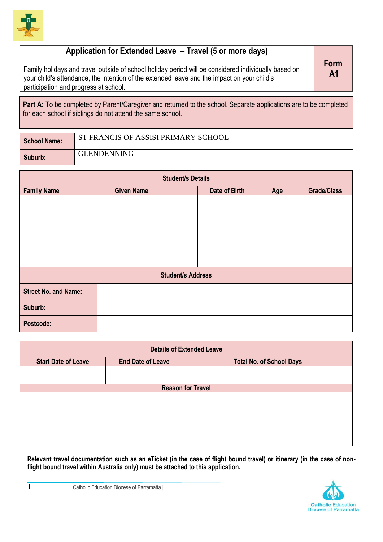

## **Application for Extended Leave – Travel (5 or more days)**

Family holidays and travel outside of school holiday period will be considered individually based on your child's attendance, the intention of the extended leave and the impact on your child's participation and progress at school.

**Form A1**

Part A: To be completed by Parent/Caregiver and returned to the school. Separate applications are to be completed for each school if siblings do not attend the same school.

| School Name: | ST FRANCIS OF ASSISI PRIMARY SCHOOL |
|--------------|-------------------------------------|
| Suburb:      | <b>GLENDENNING</b>                  |

| <b>Student/s Details</b>    |                   |               |     |                    |
|-----------------------------|-------------------|---------------|-----|--------------------|
| <b>Family Name</b>          | <b>Given Name</b> | Date of Birth | Age | <b>Grade/Class</b> |
|                             |                   |               |     |                    |
|                             |                   |               |     |                    |
|                             |                   |               |     |                    |
|                             |                   |               |     |                    |
| <b>Student/s Address</b>    |                   |               |     |                    |
| <b>Street No. and Name:</b> |                   |               |     |                    |
| Suburb:                     |                   |               |     |                    |
| Postcode:                   |                   |               |     |                    |

| <b>Details of Extended Leave</b> |                          |                                 |  |
|----------------------------------|--------------------------|---------------------------------|--|
| <b>Start Date of Leave</b>       | <b>End Date of Leave</b> | <b>Total No. of School Days</b> |  |
|                                  |                          |                                 |  |
|                                  |                          | <b>Reason for Travel</b>        |  |
|                                  |                          |                                 |  |
|                                  |                          |                                 |  |
|                                  |                          |                                 |  |
|                                  |                          |                                 |  |
|                                  |                          |                                 |  |
|                                  |                          |                                 |  |

**Relevant travel documentation such as an eTicket (in the case of flight bound travel) or itinerary (in the case of nonflight bound travel within Australia only) must be attached to this application.**

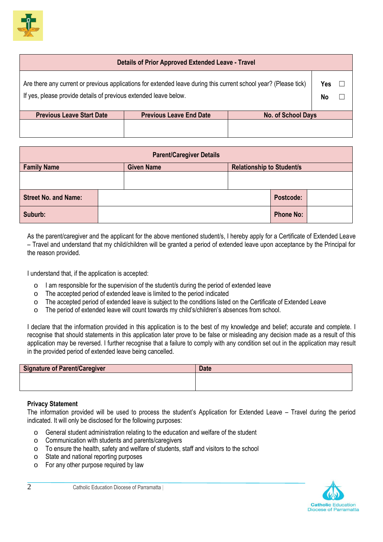

## **Details of Prior Approved Extended Leave - Travel**

| Are there any current or previous applications for extended leave during this current school year? (Please tick) | Yes       |  |
|------------------------------------------------------------------------------------------------------------------|-----------|--|
| If yes, please provide details of previous extended leave below.                                                 | <b>No</b> |  |

| <b>Previous Leave Start Date</b> | <b>Previous Leave End Date</b> | No. of School Days |
|----------------------------------|--------------------------------|--------------------|
|                                  |                                |                    |
|                                  |                                |                    |

| <b>Parent/Caregiver Details</b> |  |                   |  |                                  |                  |  |
|---------------------------------|--|-------------------|--|----------------------------------|------------------|--|
| <b>Family Name</b>              |  | <b>Given Name</b> |  | <b>Relationship to Student/s</b> |                  |  |
|                                 |  |                   |  |                                  |                  |  |
| <b>Street No. and Name:</b>     |  |                   |  |                                  | Postcode:        |  |
| Suburb:                         |  |                   |  |                                  | <b>Phone No:</b> |  |

As the parent/caregiver and the applicant for the above mentioned student/s, I hereby apply for a Certificate of Extended Leave – Travel and understand that my child/children will be granted a period of extended leave upon acceptance by the Principal for the reason provided.

I understand that, if the application is accepted:

- o I am responsible for the supervision of the student/s during the period of extended leave
- o The accepted period of extended leave is limited to the period indicated
- o The accepted period of extended leave is subject to the conditions listed on the Certificate of Extended Leave
- o The period of extended leave will count towards my child's/children's absences from school.

I declare that the information provided in this application is to the best of my knowledge and belief; accurate and complete. I recognise that should statements in this application later prove to be false or misleading any decision made as a result of this application may be reversed. I further recognise that a failure to comply with any condition set out in the application may result in the provided period of extended leave being cancelled.

| Signature of Parent/Caregiver | <b>Date</b> |
|-------------------------------|-------------|
|                               |             |
|                               |             |

## **Privacy Statement**

The information provided will be used to process the student's Application for Extended Leave – Travel during the period indicated. It will only be disclosed for the following purposes:

- o General student administration relating to the education and welfare of the student
- o Communication with students and parents/caregivers
- o To ensure the health, safety and welfare of students, staff and visitors to the school
- o State and national reporting purposes
- o For any other purpose required by law